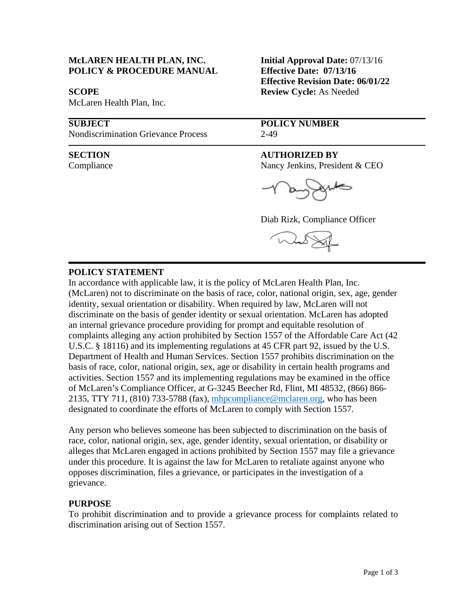## **McLAREN HEALTH PLAN, INC. Initial Approval Date:** 07/13/16 **POLICY & PROCEDURE MANUAL Effective Date: 07/13/16**

 $\overline{a}$ 

1

McLaren Health Plan, Inc.

Nondiscrimination Grievance Process 2-49

 **Effective Revision Date: 06/01/22 SCOPE** Review Cycle: As Needed

**SUBJECT POLICY NUMBER**

### **SECTION AUTHORIZED BY**

Compliance Nancy Jenkins, President & CEO

Diab Rizk, Compliance Officer



## **POLICY STATEMENT**

In accordance with applicable law, it is the policy of McLaren Health Plan, Inc. (McLaren) not to discriminate on the basis of race, color, national origin, sex, age, gender identity, sexual orientation or disability. When required by law, McLaren will not discriminate on the basis of gender identity or sexual orientation. McLaren has adopted an internal grievance procedure providing for prompt and equitable resolution of complaints alleging any action prohibited by Section 1557 of the Affordable Care Act (42 U.S.C. § 18116) and its implementing regulations at 45 CFR part 92, issued by the U.S. Department of Health and Human Services. Section 1557 prohibits discrimination on the basis of race, color, national origin, sex, age or disability in certain health programs and activities. Section 1557 and its implementing regulations may be examined in the office of McLaren's Compliance Officer, at G-3245 Beecher Rd, Flint, MI 48532, (866) 866 2135, TTY 711, (810) 733-5788 (fax), [mhpcompliance@mclaren.org,](mailto:mhpcompliance@mclaren.org) who has been designated to coordinate the efforts of McLaren to comply with Section 1557.

Any person who believes someone has been subjected to discrimination on the basis of race, color, national origin, sex, age, gender identity, sexual orientation, or disability or alleges that McLaren engaged in actions prohibited by Section 1557 may file a grievance under this procedure. It is against the law for McLaren to retaliate against anyone who opposes discrimination, files a grievance, or participates in the investigation of a grievance.

## **PURPOSE**

To prohibit discrimination and to provide a grievance process for complaints related to discrimination arising out of Section 1557.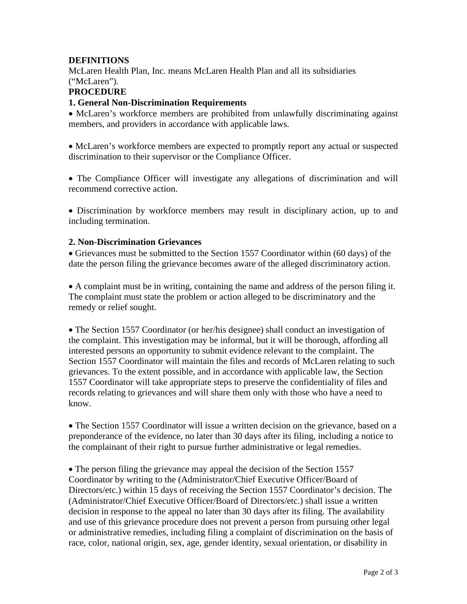# **DEFINITIONS**

McLaren Health Plan, Inc. means McLaren Health Plan and all its subsidiaries ("McLaren").

## **PROCEDURE**

## **1. General Non-Discrimination Requirements**

• McLaren's workforce members are prohibited from unlawfully discriminating against members, and providers in accordance with applicable laws.

• McLaren's workforce members are expected to promptly report any actual or suspected discrimination to their supervisor or the Compliance Officer.

• The Compliance Officer will investigate any allegations of discrimination and will recommend corrective action.

• Discrimination by workforce members may result in disciplinary action, up to and including termination.

## **2. Non-Discrimination Grievances**

• Grievances must be submitted to the Section 1557 Coordinator within (60 days) of the date the person filing the grievance becomes aware of the alleged discriminatory action.

• A complaint must be in writing, containing the name and address of the person filing it. The complaint must state the problem or action alleged to be discriminatory and the remedy or relief sought.

• The Section 1557 Coordinator (or her/his designee) shall conduct an investigation of the complaint. This investigation may be informal, but it will be thorough, affording all interested persons an opportunity to submit evidence relevant to the complaint. The Section 1557 Coordinator will maintain the files and records of McLaren relating to such grievances. To the extent possible, and in accordance with applicable law, the Section 1557 Coordinator will take appropriate steps to preserve the confidentiality of files and records relating to grievances and will share them only with those who have a need to know.

• The Section 1557 Coordinator will issue a written decision on the grievance, based on a preponderance of the evidence, no later than 30 days after its filing, including a notice to the complainant of their right to pursue further administrative or legal remedies.

• The person filing the grievance may appeal the decision of the Section 1557 Coordinator by writing to the (Administrator/Chief Executive Officer/Board of Directors/etc.) within 15 days of receiving the Section 1557 Coordinator's decision. The (Administrator/Chief Executive Officer/Board of Directors/etc.) shall issue a written decision in response to the appeal no later than 30 days after its filing. The availability and use of this grievance procedure does not prevent a person from pursuing other legal or administrative remedies, including filing a complaint of discrimination on the basis of race, color, national origin, sex, age, gender identity, sexual orientation, or disability in